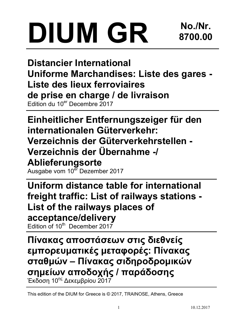# DIUM GR

Distancier International Uniforme Marchandises: Liste des gares - Liste des lieux ferroviaires de prise en charge / de livraison Edition du 10er Decembre 2017

Einheitlicher Entfernungszeiger für den internationalen Güterverkehr: Verzeichnis der Güterverkehrstellen - Verzeichnis der Übernahme -/ Ablieferungsorte

Ausgabe vom 10<sup>er</sup> Dezember 2017

Uniform distance table for international freight traffic: List of railways stations - List of the railways places of acceptance/delivery

Edition of  $10^{th}$  December 2017

Πίνακας αποστάσεων στις διεθνείς εμπορευματικές μεταφορές: Πίνακας σταθμών – Πίνακας σιδηροδρομικών σημείων αποδοχής / παράδοσης Έκδοση 10<sup>ης</sup> Δεκεμβρίου 2017

This edition of the DIUM for Greece is © 2017, TRAINOSE, Athens, Greece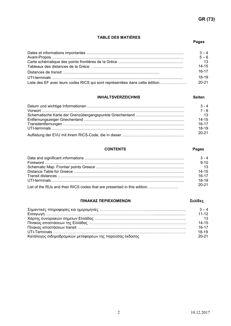### TABLE DES MATIÈRES

### **Pages** and the contract of the contract of the contract of the contract of the contract of the contract of the contract of the contract of the contract of the contract of the contract of the contract of the contract of th

|                                                                             | $3 - 4$<br>$5 - 6$ |
|-----------------------------------------------------------------------------|--------------------|
|                                                                             |                    |
|                                                                             | $\overline{13}$    |
|                                                                             | $14 - 15$          |
|                                                                             | $16-17$            |
|                                                                             | 18-19              |
| Liste des EF avec leurs codes RICS qui sont représentées dans cette édition | $20 - 21$          |

### INHALTSVERZEICHNIS Seiten

|                                                                                                                                                                              | $3 - 4$         |
|------------------------------------------------------------------------------------------------------------------------------------------------------------------------------|-----------------|
| ${\color{red} {\sf Vorwort}\ {\color{red}.\ }.\ {\color{green}.\ }.\ {\color{green}.\ }.\ {\color{green}.\ }.\ {\color{green}.\ }.\ {\color{green}.\ }.\ {\color{green}.\ }$ | $7 - 8$         |
|                                                                                                                                                                              | $\overline{13}$ |
|                                                                                                                                                                              | $14 - 15$       |
|                                                                                                                                                                              | $16 - 17$       |
|                                                                                                                                                                              | 18-19           |
|                                                                                                                                                                              | $20-21$         |

## CONTENTS Pages

### Data and significant informations ............................................................................................ Foreword ................................................................................................................................. Schematic Map: Frontier points Greece .................................................................................. Distance Table for Greece ...................................................................................................... Transit distances .....................................................................................................................  $3 - 4$ 9-10 13 14-15 16-17 UTI-terminals ........................................................................................................................... 18-19 List of the RUs and their RICS codes that are presented in this edition…………………… 20-21

### ΠΙΝΑΚΑΣ ΠΕΡΙΕΧΟΜΕΝΩΝ Σελίδες

Σημαντικές πληροφορίες και ημερομηνίες ………………………………..................................... 3 – 4 Εισαγωγή …………………………………………………………………………............................. 11-12 Χάρτης συνοριακών σημείων Ελλάδας …………………………………………………………….. 13 Πίνακας αποστάσεων της Ελλάδας ………………………………………………….……………… 14-15 Πίνακας αποστάσεων transit ………………………………………………………………………… 16-17 UTI-Terminals …………………………………………………………………………….…………… 18-19 Κατάλογος σιδηροδρομικών μεταφορέων της παρούσας έκδοσης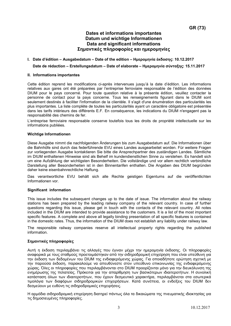# Dates et informations importantes Datum und wichtige Informationen Data and significant informations Σημαντικές πληροφορίες και ημερομηνίες

### I. Date d'édition – Ausgabedatum – Date of the edition – Ημερομηνία έκδοσης: 10.12.2017

### Date de rédaction – Erstellungsdatum – Date of elaborate – Ημερομηνία σύνταξης: 15.11.2017

### II. Informations importantes

Cette édition reprend les modifications ci-après intervenues jusqu'à la date d'édition. Les informations relatives aux gares ont été préparées par l'entreprise ferroviaire responsable de l'édition des données DIUM pour le pays concerné. Pour toute question relative à la présente édition, veuillez contacter la personne de contact pour la pays concerne. Tous les renseignements figurant dans le DIUM sont seulement destinés à faciliter l'information de la clientèle. Il s'agit d'une énumération des particularités les plus importantes. La liste complète de toutes les particularités ayant un caractère obligatoire est présentée dans les tarifs intérieurs des différents E.F. En conséquence, les indications du DIUM n'engagent pas la responsabilité des chemins de fer.

L'entreprise ferroviaire responsable conserve toutefois tous les droits de propriété intellectuelle sur les informations publiées.

### Wichtige Informationen

Diese Ausgabe nimmt die nachfolgenden Änderungen bis zum Ausgabedatum auf. Die Informationen über die Bahnhöfe sind durch das federführende EVU eines Landes ausgearbeitet worden. Für weitere Fragen zur vorliegenden Ausgabe kontaktieren Sie bitte die Ansprechpartner des zuständigen Landes. Sämtliche im DIUM enthaltenen Hinweise sind als Behelf im kundendienstlichen Sinne zu verstehen. Es handelt sich um eine Aufzählung der wichtigsten Besonderheiten. Die vollständige und vor allem rechtlich verbindliche Darstellung aller Besonderheiten ist in den Binnentarifen enthalten. Die Angaben des DIUM begründen daher keine eisenbahnrechtliche Haftung.

Das verantwortliche EVU behält sich alle Rechte geistigen Eigentums auf die veröffentlichten Informationen vor.

### Significant information

This issue includes the subsequent changes up to the date of issue. The information about the railway stations has been prepared by the leading railway company of the relevant country. In case of further questions regarding this issue, please get in touch with the contacts of the relevant country. All notes included in the DIUM are intended to provide assistance to the customers. It is a list of the most important specific features. A complete and above all legally binding presentation of all specific features is contained in the domestic rates. Thus, the information of the DIUM does not establish any liability under railway law.

The responsible railway companies reserve all intellectual property rights regarding the published information.

### Σημαντικές πληροφορίες

Αυτή η έκδοση περιλαμβάνει τις αλλαγές που έγιναν μέχρι την ημερομηνία έκδοσης. Οι πληροφορίες αναφορικά με τους σταθμούς προετοιμάστηκαν από την σιδηροδρομική επιχείρηση που είναι υπεύθυνη για την έκδοση των δεδομένων του DIUM της ενδιαφερόμενης χώρας. Για οποιαδήποτε ερώτηση σχετική με την παρούσα έκδοση, παρακαλούμε να απευθύνεστε στον υπεύθυνο επικοινωνίας της ενδιαφερόμενης χώρας. Όλες οι πληροφορίες που περιλαμβάνονται στο DIUM προορίζονται μόνο για την διευκόλυνση της ενημέρωσης της πελατείας. Πρόκειται για την απαρίθμηση των βασικότερων ιδιαιτεροτήτων. Η συνολική κατάσταση όλων των ιδιαιτεροτήτων, που έχουν δεσμευτικό χαρακτήρα, περιλαμβάνεται στα εσωτερικά τιμολόγια των διαφόρων σιδηροδρομικών επιχειρήσεων. Κατά συνέπεια, οι ενδείξεις του DIUM δεν δεσμεύουν με ευθύνη τις σιδηροδρομικές επιχειρήσεις.

Η αρμόδια σιδηροδρομική επιχείρηση διατηρεί πάντως όλα τα δικαιώματα της πνευματικής ιδιοκτησίας για τις δημοσιευμένες πληροφορίες.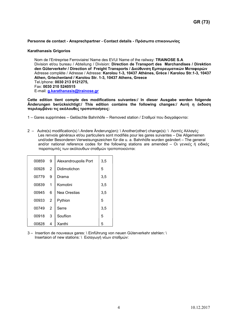### Personne de contact - Ansprechpartner - Contact details - Πρόσωπο επικοινωνίας

### Karathanasis Grigorios

Nom de l'Entreprise Ferroviaire/ Name des EVU/ Name of the railway: TRAINOSE S.A Division et/ou bureau / Abteilung / Division: Direction de Transport des Marchandises / Direktion den Güterverkehr / Direction of Freight Transports / Διεύθυνση Εμπορευματικών Μεταφορών Adresse complète / Adresse / Adresse: Karolou 1-3, 10437 Athènes, Grèce / Karolou Str.1-3, 10437 Athen, Griechenland / Karolou Str. 1-3, 10437 Athens, Greece Tel./phone: 0030 213 0121275, Fax: 0030 210 5240515 E-mail: g.karathanasis@trainose.gr

Cette edition tient compte des modifications suivantes:/ In dieser Ausgabe werden folgende Änderungen berücksichtigt:/ This edition contains the following changes:/ Αυτή η έκδοση περιλαμβάνει τις ακόλουθες τροποποιήσεις:

- 1 Gares supprimées Gelöschte Bahnhöfe Removed station / Σταθμοί που διαγράφονται:
- 2 Autre(s) modification(s) \ Andere Änderung(en): \ Another(other) change(s): \ Λοιπές Αλλαγές: Les renvois généraux et/ou particuliers sont modifiés pour les gares suivantes – Die Allgemeinen und/oder Besonderen Verweisungszeichen für die u. a. Bahnhöfe wurden geändert – The general and/or national reference codes for the following stations are amended – Οι γενικές ή ειδικές παραπομπές των ακόλουθων σταθμών τροποποιούνται:

| 00859 | 9 | Alexandroupolis Port | 3,5 |
|-------|---|----------------------|-----|
| 00928 | 2 | Didimotichon         | 5   |
| 00779 | 9 | Drama                | 3,5 |
| 00839 | 1 | Komotini             | 3,5 |
| 00945 | 6 | Nea Orestias         | 3,5 |
| 00933 | 2 | Pythion              | 5   |
| 00749 | 2 | Serre                | 3,5 |
| 00918 | 3 | Souflion             | 5   |
| 00828 | 4 | Xanthi               | 5   |

3 – Insertion de nouveaux gares: \ Einführung von neuen Güterverkehr stehlen: \ Insertaion of new stations: \ Εισαγωγή νέων σταθμών: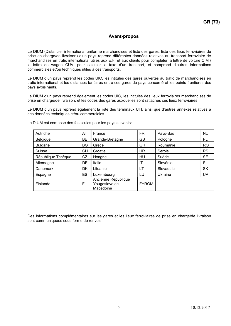# Avant-propos

Le DIUM (Distancier international uniforme marchandises et liste des gares, liste des lieux ferroviaires de prise en charge/de livraison) d'un pays reprend différentes données relatives au transport ferroviaire de marchandises en trafic international utiles aux E.F. et aux clients pour compléter la lettre de voiture CIM / la lettre de wagon CUV, pour calculer la taxe d'un transport, et comprend d'autres informations commerciales et/ou techniques utiles à ces transports.

Le DIUM d'un pays reprend les codes UIC, les intitulés des gares ouvertes au trafic de marchandises en trafic international et les distances tarifaires entre ces gares du pays concerné et les points frontières des pays avoisinants.

Le DIUM d'un pays reprend également les codes UIC, les intitulés des lieux ferroviaires marchandises de prise en charge/de livraison, et les codes des gares auxquelles sont rattachés ces lieux ferroviaires.

Le DIUM d'un pays reprend également la liste des terminaux UTI, ainsi que d'autres annexes relatives à des données techniques et/ou commerciales.

| Autriche           | AT        | France                                            | FR.          | Pays-Bas  | <b>NL</b>      |
|--------------------|-----------|---------------------------------------------------|--------------|-----------|----------------|
| Belgique           | <b>BE</b> | Grande-Bretagne                                   | GВ           | Pologne   | PL             |
| <b>Bulgarie</b>    | BG        | Grèce                                             | GR           | Roumanie  | R <sub>O</sub> |
| <b>Suisse</b>      | CН        | Croatie                                           | <b>HR</b>    | Serbie    | <b>RS</b>      |
| République Tchèque | CZ        | Hongrie                                           | HU           | Suède     | <b>SE</b>      |
| Allemagne          | DE        | Italie                                            | ΙT           | Slovénie  | SI             |
| Danemark           | DK        | Lituanie                                          | LT           | Slovaquie | <b>SK</b>      |
| Espagne            | ES        | Luxembourg                                        | LU           | Ukraine   | <b>UA</b>      |
| Finlande           | FI        | Ancienne République<br>Yougoslave de<br>Macédoine | <b>FYROM</b> |           |                |

Le DIUM est composé des fascicules pour les pays suivants:

Des informations complémentaires sur les gares et les lieux ferroviaires de prise en charge/de livraison sont communiquées sous forme de renvois.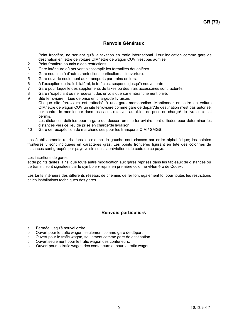# Renvois Généraux

- 1 Point frontière, ne servant qu'à la taxation en trafic international. Leur indication comme gare de destination en lettre de voiture CIM/lettre de wagon CUV n'est pas admise.
- 2 Point frontière soumis à des restrictions.
- 3 Gare intérieure où peuvent s'accomplir les formalités douanières.
- 4 Gare soumise à d'autres restrictions particulières d'ouverture.
- 5 Gare ouverte seulement aux transports par trains entiers.
- 6 A l'exception du trafic bilatéral, le trafic est suspendu jusqu'à nouvel ordre.
- 7 Gare pour laquelle des suppléments de taxes ou des frais accessoires sont facturés.
- 8 Gare n'expédiant ou ne recevant des envois que sur embranchement privé.
- 9 Site ferroviaire = Lieu de prise en charge/de livraison.
	- Chaque site ferroviaire est rattaché à une gare marchandise. Mentionner en lettre de voiture CIM/lettre de wagon CUV un site ferroviaire comme gare de départ/de destination n'est pas autorisé; par contre, le mentionner dans les cases relatives au «Lieu de prise en charge/ de livraison» est permis.

Les distances définies pour la gare qui dessert un site ferroviaire sont utilisées pour déterminer les distances vers ce lieu de prise en charge/de livraison.

10 Gare de réexpédition de marchandises pour les transports CIM / SMGS.

Les établissements repris dans la colonne de gauche sont classés par ordre alphabétique; les pointes frontières y sont indiquées en caractères gras. Les points frontières figurant en tête des colonnes de distances sont groupés par pays voisin sous l'abréviation et le code de ce pays.

### Les insertions de gares

et de points tarifés, ainsi que toute autre modification aux gares reprises dans les tableaux de distances ou de transit, sont signalées par le symbole ♦ repris en première colonne «Numéro de Code».

Les tarifs intérieurs des différents réseaux de chemins de fer font également foi pour toutes les restrictions et les installations techniques des gares.

# Renvois particuliers

- a Fermée jusqu'à nouvel ordre.
- b Ouvert pour le trafic wagon, seulement comme gare de départ.
- c Ouvert pour le trafic wagon, seulement comme gare de destination.
- d Ouvert seulement pour le trafic wagon des conteneurs.
- e Ouvert pour le trafic wagon des conteneurs et pour le trafic wagon.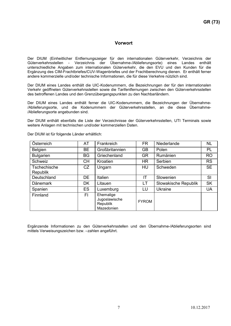# Vorwort

Der DIUM (Einheitlicher Entfernungszeiger für den internationalen Güterverkehr, Verzeichnis der Güterverkehrsstellen - Verzeichnis der Übernahme-/Ablieferungsorte) eines Landes enthält unterschiedliche Angaben zum internationalen Güterverkehr, die den EVU und den Kunden für die Ergänzung des CIM-Frachtbriefes/CUV-Wagenbriefes und der Frachtberechnung dienen. Er enthält ferner andere kommerzielle und/oder technische Informationen, die für diese Verkehre nützlich sind.

Der DIUM eines Landes enthält die UIC-Kodenummern, die Bezeichnungen der für den internationalen Verkehr geöffneten Güterverkehrsstellen sowie die Tarifentfernungen zwischen den Güterverkehrsstellen des betroffenen Landes und den Grenzübergangspunkten zu den Nachbarländern.

Der DIUM eines Landes enthält ferner die UIC-Kodenummern, die Bezeichnungen der Übernahme- /Ablieferungsorte, und die Kodenummern der Güterverkehrsstellen, an die diese Übernahme- /Ablieferungsorte angebunden sind.

Der DIUM enthält ebenfalls die Liste der Verzeichnisse der Güterverkehrsstellen, UTI Terminals sowie weitere Anlagen mit technischen und/oder kommerziellen Daten.

| Österreich                      | AT        | Frankreich                                                  | <b>FR</b>    | Niederlande          | <b>NL</b> |
|---------------------------------|-----------|-------------------------------------------------------------|--------------|----------------------|-----------|
| Belgien                         | <b>BE</b> | Großbritannien                                              | <b>GB</b>    | Polen                | <b>PL</b> |
| <b>Bulgarien</b>                | <b>BG</b> | Griechenland                                                | <b>GR</b>    | Rumänien             | <b>RO</b> |
| Schweiz                         | <b>CH</b> | Kroatien                                                    | <b>HR</b>    | Serbien              | <b>RS</b> |
| Tschechische<br><b>Republik</b> | CZ        | Ungarn                                                      | <b>HU</b>    | Schweden             | <b>SE</b> |
| Deutschland                     | <b>DE</b> | Italien                                                     | IT           | Slowenien            | SI        |
| <b>Dänemark</b>                 | <b>DK</b> | Litauen                                                     | LT           | Slowakische Republik | <b>SK</b> |
| Spanien                         | <b>ES</b> | Luxemburg                                                   | LU           | <b>Ukraine</b>       | <b>UA</b> |
| Finnland                        | FI        | Ehemalige<br>Jugoslawische<br><b>Republik</b><br>Mazedonien | <b>FYROM</b> |                      |           |

Der DIUM ist für folgende Länder erhältlich:

Ergänzende Informationen zu den Güterverkehrsstellen und den Übernahme-/Ablieferungsorten sind mittels Verweisungszeichen bzw. –zahlen angeführt.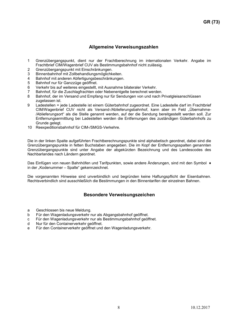# Allgemeine Verweisungszahlen

- 1 Grenzübergangspunkt, dient nur der Frachtberechnung im internationalen Verkehr. Angabe im Frachtbrief CIM/Wagenbrief CUV als Bestimmungsbahnhof nicht zulässig.
- 2 Grenzübergangspunkt mit Einschränkungen.
- 3 Binnenbahnhof mit Zollbehandlungsmöglichkeiten.
- 4 Bahnhof mit anderen Abfertigungsbeschränkungen.<br>5 Bahnhof nur für Ganzzüge geöffnet
- 5 Bahnhof nur für Ganzzüge geöffnet.
- 6 Verkehr bis auf weiteres eingestellt, mit Ausnahme bilateraler Verkehr.
- 7 Bahnhof, für die Zuschlagfrachten oder Nebenentgelte berechnet werden.<br>8 Bahnhof, der im Versand und Empfang nur für Sendungen von und nach F
- 8 Bahnhof, der im Versand und Empfang nur für Sendungen von und nach Privatgleisanschlüssen zugelassen ist.
- 9 Ladestellen = jede Ladestelle ist einem Güterbahnhof zugeordnet. Eine Ladestelle darf im Frachtbrief CIM/Wagenbrief CUV nicht als Versand-/Ablieferungsbahnhof, kann aber im Feld "Übernahme- /Ablieferungsort" als die Stelle genannt werden, auf der die Sendung bereitgestellt werden soll. Zur Entfernungsermittlung bei Ladestellen werden die Entfernungen des zuständigen Güterbahnhofs zu Grunde gelegt.
- 10 Reexpeditionsbahnhof für CIM-/SMGS-Verkehre.

Die in der linken Spalte aufgeführten Frachtberechnungspunkte sind alphabetisch geordnet, dabei sind die Grenzübergangspunkte in fetten Buchstaben angegeben. Die im Kopf der Entfernungsspalten genannten Grenzübergangspunkte sind unter Angabe der abgekürzten Bezeichnung und des Landescodes des Nachbarlandes nach Ländern geordnet.

Das Einfügen von neuen Bahnhöfen und Tarifpunkten, sowie andere Änderungen, sind mit den Symbol ♦ in der "Kodenummer – Spalte" gekennzeichnet.

Die vorgenannten Hinweise sind unverbindlich und begründen keine Haftungspflicht der Eisenbahnen. Rechtsverbindlich sind ausschließlich die Bestimmungen in den Binnentarifen der einzelnen Bahnen.

# Besondere Verweisungszeichen

- a Geschlossen bis neue Meldung.
- b Für den Wagenladungsverkehr nur als Abgangsbahnhof geöffnet.
- c Für den Wagenladungsverkehr nur als Bestimmungsbahnhof geöffnet.
- d Nur für den Containerverkehr geöffnet.
- e Für den Containerverkehr geöffnet und den Wagenladungsverkehr.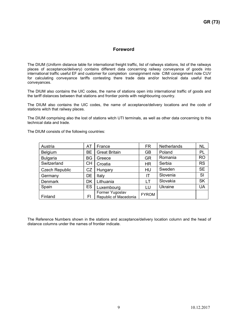# Foreword

The DIUM (Uniform distance table for international freight traffic, list of railways stations, list of the railways places of acceptance/delivery) contains different data concerning railway conveyance of goods into international traffic useful EF and customer for completion consignment note CIM/ consignment note CUV for calculating conveyance tariffs contesting there trade data and/or technical data useful that conveyances.

The DIUM also contains the UIC codes, the name of stations open into international traffic of goods and the tariff distances between that stations and frontier points with neighbouring country.

The DIUM also contains the UIC codes, the name of acceptance/delivery locations and the code of stations witch that railway places.

The DIUM comprising also the lost of stations witch UTI terminals, as well as other data concerning to this technical data and trade.

The DIUM consists of the following countries:

| Austria               | AT        | France                                   | <b>FR</b>    | <b>Netherlands</b> | <b>NL</b> |
|-----------------------|-----------|------------------------------------------|--------------|--------------------|-----------|
| <b>Belgium</b>        | <b>BE</b> | <b>Great Britain</b>                     | <b>GB</b>    | Poland             | PL        |
| <b>Bulgaria</b>       | BG        | Greece                                   | <b>GR</b>    | Romania            | <b>RO</b> |
| Switzerland           | <b>CH</b> | Croatia                                  | <b>HR</b>    | Serbia             | <b>RS</b> |
| <b>Czech Republic</b> | CZ        | Hungary                                  | HU           | Sweden             | <b>SE</b> |
| Germany               | DE        | Italy                                    | ΙT           | Slovenia           | SI        |
| <b>Denmark</b>        | DK        | Lithuania                                | LT           | Slovakia           | <b>SK</b> |
| Spain                 | ES        | Luxembourg                               | LU           | Ukraine            | UA        |
| Finland               | FI        | Former Yugoslav<br>Republic of Macedonia | <b>FYROM</b> |                    |           |

The Reference Numbers shown in the stations and acceptance/delivery location column and the head of distance columns under the names of frontier indicate.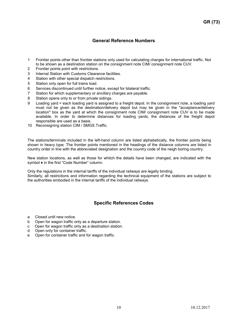# General Reference Numbers

- 1 Frontier points other than frontier stations only used for calculating charges for international traffic. Not to be shown as a destination station on the consignment note CIM/ consignment note CUV.
- 2 Frontier points point with restrictions.
- 3 Internal Station with Customs Clearance facilities.
- 4 Station with other special dispatch restrictions.
- 5 Station only open for full trains load.
- 6 Services discontinued until further notice, except for bilateral traffic.
- 7 Station for which supplementary or ancillary charges are payable.
- 8 Station opens only to or from private sidings.
- 9 Loading yard = each loading yard is assigned to a freight depot. In the consignment note, a loading yard must not be given as the destination/delivery depot but may be given in the "acceptance/delivery location" box as the yard at which the consignment note CIM/ consignment note CUV is to be made available. In order to determine distances for loading yards, the distances of the freight depot responsible are used as a basis.
- 10 Reconsigning station CIM / SMGS Traffic.

The stations/terminals included in the left-hand column are listed alphabetically, the frontier points being shown in heavy type. The frontier points mentioned in the headings of the distance columns are listed in country order in line with the abbreviated designation and the country code of the neigh boring country.

New station locations, as well as those for whitch the details have been changed, are indicated with the symbol ♦ in the first "Code Number" column.

Only the regulations in the internal tariffs of the individual railways are legally binding. Similarly, all restrictions and information regarding the technical equipment of the stations are subject to the authorities embodied in the internal tariffs of the individual railways.

# Specific References Codes

- a Closed until new notice.
- b Open for wagon traffic only as a departure station.
- c Open for wagon traffic only as a destination station.
- d Open only for container traffic.
- e Open for container traffic and for wagon traffic.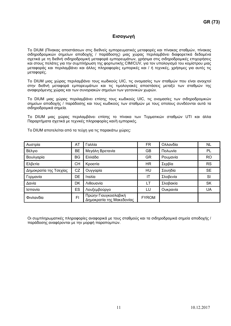# Εισαγωγή

Το DIUM (Πίνακας αποστάσεων στις διεθνείς εμπορευματικές μεταφορές και πίνακας σταθμών, πίνακας σιδηροδρομικών σημείων αποδοχής / παράδοσης) μιας χώρας περιλαμβάνει διαφορετικά δεδομένα σχετικά με τη διεθνή σιδηροδρομική μεταφορά εμπορευμάτων, χρήσιμα στις σιδηροδρομικές επιχειρήσεις και στους πελάτες για την συμπλήρωση της φορτωτικής CIM/CUV, για τον υπολογισμό του κομίστρου μιας μεταφοράς και περιλαμβάνει και άλλες πληροφορίες εμπορικές και / ή τεχνικές, χρήσιμες για αυτές τις μεταφορές.

Το DIUM μιας χώρας περιλαμβάνει τους κωδικούς UIC, τις ονομασίες των σταθμών που είναι ανοιχτοί στην διεθνή μεταφορά εμπορευμάτων και τις τιμολογιακές αποστάσεις μεταξύ των σταθμών της αναφερόμενης χώρας και των συνοριακών σημείων των γειτονικών χωρών.

Το DIUM μιας χώρας περιλαμβάνει επίσης τους κωδικούς UIC, τις ονομασίες των σιδηροδρομικών σημείων αποδοχής / παράδοσης και τους κωδικούς των σταθμών με τους οποίους συνδέονται αυτά τα σιδηροδρομικά σημεία.

Το DIUM μιας χώρας περιλαμβάνει επίσης το πίνακα των Τερματικών σταθμών UTI και άλλα Παραρτήματα σχετικά με τεχνικές πληροφορίες και/ή εμπορικές.

| Αυστρία                | AT | Γαλλία                                            | <b>FR</b>    | Ολλανδία | <b>NL</b> |
|------------------------|----|---------------------------------------------------|--------------|----------|-----------|
| Βέλγιο                 | BE | Μεγάλη Βρετανία                                   | GВ           | Πολωνία  | PL        |
| Βουλγαρία              | BG | Ελλάδα                                            | <b>GR</b>    | Ρουμανία | <b>RO</b> |
| Ελβετία                | CН | Κροατία                                           | HR.          | Σερβία   | <b>RS</b> |
| Δημοκρατία της Τσεχίας | CZ | Ουγγαρία                                          | <b>HU</b>    | Σουηδία  | <b>SE</b> |
| Γερμανία               | DE | Ιταλία                                            | IT           | Σλοβενία | <b>SI</b> |
| Δανία                  | DK | Λιθουανία                                         | LT.          | Σλοβακία | <b>SK</b> |
| Ισπανία                | ES | Λουξεμβούργο                                      | LU           | Ουκρανία | UA        |
| Φινλανδία              | FI | Πρώην Γιουγκοσλαβική<br>Δημοκρατία της Μακεδονίας | <b>FYROM</b> |          |           |

Το DIUM αποτελείται από τα τεύχη για τις παρακάτω χώρες:

Οι συμπληρωματικές πληροφορίες αναφορικά με τους σταθμούς και τα σιδηροδρομικά σημεία αποδοχής / παράδοσης αναφέρονται με την μορφή παραπομπών.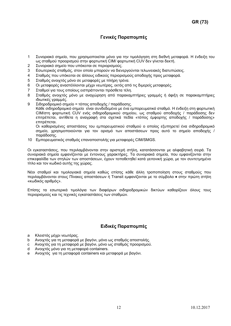# Γενικές Παραπομπές

- 1 Συνοριακό σημείο, που χρησιμοποιείται μόνο για την τιμολόγηση στη διεθνή μεταφορά. Η ένδειξη του ως σταθμού προορισμού στην φορτωτική CIM/ φορτωτική CUV δεν γίνεται δεκτή.
- 2 Συνοριακό σημείο που υπόκειται σε περιορισμούς.
- 3 Εσωτερικός σταθμός, στον οποίο μπορούν να διενεργούνται τελωνειακές διατυπώσεις.
- 4 Σταθμός που υπόκειται σε άλλους ειδικούς περιορισμούς αποδοχής προς μεταφορά.
- 5 Σταθμός ανοιχτός μόνο σε μεταφορές με πλήρη τρένα.
- 6 Οι μεταφορές αναστέλλονται μέχρι νεωτέρας, εκτός από τις διμερείς μεταφορές.
- 7 Σταθμοί για τους οποίους εισπράττονται πρόσθετα τέλη.
- 8 Σταθμός ανοιχτός μόνο με αναχώρηση από παρακαμπτήριες γραμμές ή άφιξη σε παρακαμπτήριες ιδιωτικές γραμμές.
- 9 Σιδηροδρομικό σημείο = τόπος αποδοχής / παράδοσης.

Κάθε σιδηροδρομικό σημείο είναι συνδεδεμένο με ένα εμπορευματικό σταθμό. H ένδειξη στη φορτωτική CIM/στη φορτωτική CUV ενός σιδηροδρομικού σημείου, ως σταθμού αποδοχής / παράδοσης δεν επιτρέπεται, αντίθετα η αναγραφή στα σχετικά πεδία «τόπος έμφορτης αποδοχής / παράδοσης» επιτρέπεται.

Οι καθορισμένες αποστάσεις του εμπορευματικού σταθμού o οποίος εξυπηρετεί ένα σιδηροδρομικό σημείο, χρησιμοποιούνται για τον ορισμό των αποστάσεων προς αυτό το σημείο αποδοχής / παράδοσης.

10 Εμπορευματικός σταθμός επαναποστολής για μεταφορές CIM/SMGS.

Οι εγκαταστάσεις, που περιλαμβάνονται στην αριστερή στήλη, κατατάσσονται με αλφαβητική σειρά. Τα συνοριακά σημεία εμφανίζονται με έντονους χαρακτήρες. Τα συνοριακά σημεία, που εμφανίζονται στην επικεφαλίδα των στηλών των αποστάσεων, έχουν τοποθετηθεί κατά γειτονική χώρα, με τον συντετμημένο τίτλο και τον κωδικό αυτής της χώρας.

Νέοι σταθμοί και τιμολογιακά σημεία καθώς επίσης κάθε άλλη τροποποίηση στους σταθμούς που περιλαμβάνονται στους Πίνακες αποστάσεων ή Transit εμφανίζονται με το σύμβολο ♦ στην πρώτη στήλη «κωδικός αριθμός».

Επίσης τα εσωτερικά τιμολόγια των διαφόρων σιδηροδρομικών δικτύων καθορίζουν όλους τους περιορισμούς και τις τεχνικές εγκαταστάσεις των σταθμών.

# Ειδικές Παραπομπές

- a Κλειστός μέχρι νεωτέρας.
- b Ανοιχτός για τη μεταφορά με βαγόνι, μόνο ως σταθμός αποστολής.
- c Ανοιχτός για τη μεταφορά με βαγόνι, μόνο ως σταθμός προορισμού.
- d Ανοιχτός μόνο για τη μεταφορά containers.
- e Ανοιχτός για τη μεταφορά containers και μεταφορά με βαγόνι.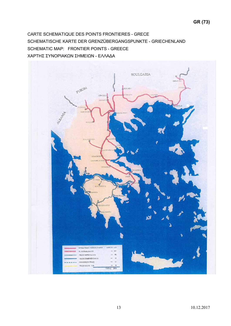CARTE SCHEMATIQUE DES POINTS FRONTIERES - GRECE SCHEMATISCHE KARTE DER GRENZÜBERGANGSPUNKTE - GRIECHENLAND SCHEMATIC MAP: FRONTIER POINTS - GREECE ΧΑΡΤΗΣ ΣΥΝΟΡΙΑΚΩΝ ΣΗΜΕΙΩΝ - ΕΛΛΑΔΑ

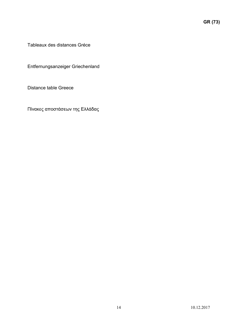Tableaux des distances Gréce

Entfernungsanzeiger Griechenland

Distance table Greece

Πίνακες αποστάσεων της Ελλάδας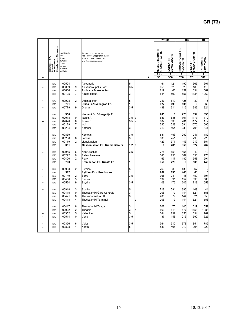| $\bullet$                   | Bedienendes EVU<br>Serving RU<br>EF desservant<br>Σιδηροδρομικός Μεταφορέας | Numéro de<br>code<br>Kode-<br>nummer<br>Code-<br>number<br>Κωδικός<br>αριθμός |                                                          | de ou vice versa a<br>von order umgekehrt nach<br>from or vice versa to<br>από ή αντίστροφα προς |                                  | п | <b>FYROM</b><br><b>MESSONISSION FR<br/>KREMENITSA FR.</b><br>1, 2, a<br>351 | <b>IDOMENI FR<br/>GEVGELIJA FR.</b><br>-1<br>350            | BG<br>PROMACHONAS FR<br><u>KULATA FR.</u><br>-1<br>760 | DIKEA FR<br><u>SVILENGRAD FR</u><br>-1<br>761 | TR<br><b>PYTHION FR.</b><br>UZUNKOPRU<br>-1<br>512 |
|-----------------------------|-----------------------------------------------------------------------------|-------------------------------------------------------------------------------|----------------------------------------------------------|--------------------------------------------------------------------------------------------------|----------------------------------|---|-----------------------------------------------------------------------------|-------------------------------------------------------------|--------------------------------------------------------|-----------------------------------------------|----------------------------------------------------|
| ٠                           | 1073<br>1073<br>1073<br>1073                                                | 00504<br>00859<br>00606<br>00105                                              | -1<br>9<br>4<br>$\overline{7}$                           | Alexandria<br>Alexandroupolis Port<br>Anchialos Makedonias<br>Athine (Rouf)                      | 5<br>3,5<br>3                    |   | 161<br>650<br>219<br>644                                                    | 124<br>523<br>66<br>592                                     | 190<br>328<br>157<br>657                               | 666<br>180<br>634<br>1134                     | 601<br>115<br>569<br>1069                          |
| $\bullet$<br>$\bullet$      | 1073<br>1073<br>1073                                                        | 00928<br>761<br>00779                                                         | $\overline{2}$<br>9                                      | Didimotichon<br>Dikea Fr./Svilengrad Fr.<br>Drama                                                | 5<br>11<br>3,5                   |   | 747<br>827<br>438                                                           | 619<br>699<br>311                                           | 425<br>505<br>116                                      | 80<br>0<br>389                                | 16<br>68<br>324                                    |
| $\bullet$                   | 1073<br>1073<br>1073<br>1073<br>1073                                        | 350<br>02018<br>02020<br>00129<br>00284                                       | $\mathbf 0$<br>6<br>$\overline{7}$<br>$\mathbf 0$        | Idomeni Fr. / Gevgelija Fr.<br>Ikonio A<br>Ikonio B<br>Inoi<br>Katerini                          | 1<br>3,5<br>ld.<br>$3,5$ a<br>13 |   | 285<br>687<br>687<br>580<br>216                                             | 0<br>635<br>635<br>528<br>164                               | 223<br>701<br>701<br>594<br>230                        | 699<br>1177<br>1177<br>1070<br>706            | 635<br>$1112$<br>1112<br>1005<br>641               |
| $\bullet$                   | 1073<br>1073<br>1073<br>1073                                                | 00839<br>00238<br>00179<br>351                                                | $\overline{1}$<br>6<br>$\overline{2}$                    | Komotini<br>Larissa<br>Lianokladion<br>Messonission Fr./ Kremenitsa Fr.                          | 3,5<br>13<br>∣1,2 ∣a             |   | 581<br>303<br>429<br>$\mathbf{0}$                                           | 453<br>251<br>377<br>285                                    | 259<br>316<br>443<br>350                               | 247<br>793<br>919<br>827                      | 182<br>728<br>854<br>762                           |
| $\bullet$                   | 1073<br>1073<br>1073<br>1073                                                | 00945<br>00222<br>00400<br>760                                                | 6<br>$\mathbf 0$<br>$\overline{2}$                       | Nea Orestias<br>Paleopharsalos<br>Platy<br>Promachon Fr./ Kulata Fr.                             | 3,5<br>11                        |   | 778<br>348<br>169<br>350                                                    | 651<br>296<br>117<br>223                                    | 456<br>362<br>182<br>- 0 I                             | 49<br>838<br>658<br>505                       | 19<br>773<br>594<br>440                            |
| $\bullet$<br>٠<br>$\bullet$ | 1073<br>1073<br>1073<br>1073<br>1073                                        | 00933<br>512<br>00749<br>00408<br>00524                                       | $\overline{2}$<br>$\overline{2}$<br>$5\phantom{.0}$<br>9 | Pythion<br>Pythion Fr. / Uzunkopru<br>Serre<br>Sindos<br>Skydra                                  | 5<br>I1.<br>3,5<br>3,5           |   | 760<br>762<br>368<br>194<br>109                                             | 633<br>635<br>241<br>91<br>176                              | 439<br>440<br>46<br>157<br>242                         | 67<br>68<br>459<br>633<br>718                 | $\mathbf{2}$<br> 0 <br>394<br>568<br>653           |
| $\bullet$                   | 1073<br>1073<br>1073<br>1073                                                | 00918<br>00415<br>00421<br>00418                                              | $\mathbf{3}$<br>$\mathbf 0$<br>8<br>$\overline{4}$       | Souflion<br>Thessaloniki Gare Centrale<br>Thessaloniki Port B<br>Thessaloniki Terminal           | 5<br>3<br>3<br>ld.               |   | 718<br>206<br>206<br>206                                                    | 591<br>$\begin{bmatrix} 79 \\ 79 \\ 79 \\ 79 \end{bmatrix}$ | 396<br>144<br>144<br>144                               | 109<br>621<br>621<br>621                      | 44<br>556<br>556<br>556                            |
| ٠<br>$\bullet$              | 1073<br>1073<br>1073<br>1073                                                | 00417<br>02022<br>00352<br>00514                                              | 6<br>$\overline{2}$<br>$\sqrt{5}$<br>$\mathbf 0$         | Thessaloniki Triage<br>Thriasio<br>Velestinon<br>Veria                                           | 3<br>3<br>le<br>5<br>lc.<br>3,5  |   | 202<br>663<br>344<br>137                                                    | 75<br>611<br>292<br>148                                     | 140<br>677<br>358<br>213                               | 617<br>1153<br>834<br>690                     | 552<br>1088<br>769<br>625                          |
| $\bullet$<br>$\bullet$      | 1073<br>1073                                                                | 00356<br>00828                                                                | 6<br>$\overline{4}$                                      | Volos<br>Xanthi                                                                                  | 3,5<br>5                         |   | 364<br>533                                                                  | 312<br>406                                                  | 378<br>212                                             | 854<br>294                                    | 789<br>229                                         |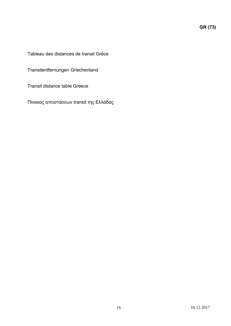$G_{\rm R}$  (73)

Tableau des distances de transit Grèce

Transitentfernungen Griechenland

Transit distance table Greece

Πίνακας αποστάσεων transit της Ελλάδας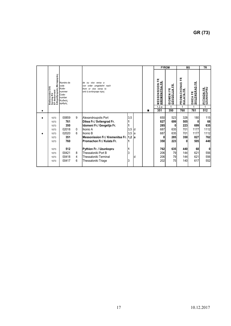|                                    |                                                                                      |                                                                                       |                                                                     |                                                                                                                                                                                                                                                                                  |                                                                                                                       |   |                                                                           |                                                                                |                                                                           |                                                                            | GR (73)                                                                  |
|------------------------------------|--------------------------------------------------------------------------------------|---------------------------------------------------------------------------------------|---------------------------------------------------------------------|----------------------------------------------------------------------------------------------------------------------------------------------------------------------------------------------------------------------------------------------------------------------------------|-----------------------------------------------------------------------------------------------------------------------|---|---------------------------------------------------------------------------|--------------------------------------------------------------------------------|---------------------------------------------------------------------------|----------------------------------------------------------------------------|--------------------------------------------------------------------------|
| $\bullet$                          | Bedienendes EVU<br>Serving RU<br>EF desservant<br>Σιδηροδρομικός Μεταφορέας          | Numéro de<br>code<br>Kode-<br>nummer<br>Code-<br>number<br>Κωδικός<br>αριθμός         |                                                                     | de ou vice versa a<br>von order umgekehrt nach<br>from or vice versa to<br>από ή αντίστροφα προς                                                                                                                                                                                 |                                                                                                                       | п | <b>FYROM</b><br><b>MESSONISSION FR<br/>KREMENITSA FR.</b><br>1,2,a<br>351 | <b>IDOMENIFR<br/>GEVGELIJAFR.</b><br>$\overline{1}$<br>350                     | BG<br>PROMACHONAS FR<br>KULATA FR<br>$\overline{1}$<br>760                | DIKEA FR<br>SVILENGRAD FR.<br>$\overline{1}$<br>761                        | <b>TR</b><br>UZUNKOPRU<br>$\overline{1}$<br>512                          |
| $\blacklozenge$<br>$\blacklozenge$ | 1073<br>1073<br>1073<br>1073<br>1073<br>1073<br>1073<br>1073<br>1073<br>1073<br>1073 | 00859<br>761<br>350<br>02018<br>02020<br>351<br>760<br>512<br>00421<br>00418<br>00417 | 9<br>$\pmb{0}$<br>$\,6\,$<br>8<br>$\overline{4}$<br>$6\phantom{.}6$ | Alexandroupolis Port<br>Dikea Fr./ Svilengrad Fr.<br>Idomeni Fr./ Gevgelija Fr.<br>Ikonio A<br>Ikonio B<br>Messonission Fr./ Kremenitsa Fr. 1,2 a<br>Promachon Fr./ Kulata Fr.<br>Pythion Fr. / Uzunkopru<br>Thessaloniki Port B<br>Thessaloniki Terminal<br>Thessaloniki Triage | $3,5$<br>$\mathbf 1$<br>$\mathbf 1$<br>$3,5$<br>$3,5$<br> d<br> a<br>$\vert$ 1<br>$\mathbf 1$<br>$\vert$ 3<br>ld<br>3 |   | 650<br>827<br>285<br>687<br>687<br>0<br>350<br>762<br>206<br>206<br>202   | 523<br>699<br>$\mathbf 0$<br>635<br>635<br>285<br>223<br>635<br>79<br>79<br>75 | 328<br>505<br>223<br>701<br>701<br>350<br> 0 <br>440<br>144<br>144<br>140 | 180<br> 0 <br>699<br>1177<br>1177<br>827<br>505<br>68<br>621<br>621<br>617 | 115<br>68<br>635<br>1112<br>1112<br>762<br>440<br>0<br>556<br>556<br>552 |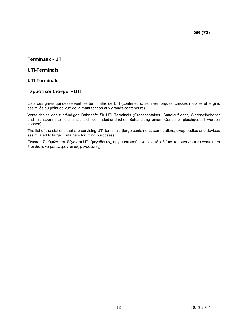$G_{\rm R}$  (73)

# Terminaux - UTI

# UTI-Terminals

# UTI-Terminals

# Τερματικοί Σταθμοί - UTI

Liste des gares qui desservent les terminales de UTI (conteneurs, semi-remorques, caisses mobiles et engins assimilés du point de vue de la manutention aux grands conteneurs).

Verzeichniss der zuständigen Bahnhöfe für UTI Terminals (Grosscontainer, Sattelauflieger, Wechselbehälter und Transportmittel, die hinsichtlich der ladedienstlichen Behandlung einem Container gleichgestellt werden können).

The list of the stations that are servicing UTI terminals (large containers, semi-trailers, swap bodies and devices assimilated to large containers for lifting purposes).

Πίνακας Σταθμών που δέχονται UTI (μεγαδέκτες, ημιρυμουλκούμενα, κινητά κιβώτια και συνενωμένα containers έτσι ώστε να μεταφέρονται ως μεγαδέκτες).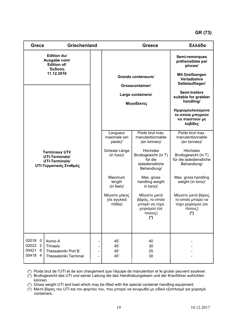# GR (73)

| <b>Grece</b>                                                                                      | Griechenland                                                                |  |                                        | <b>Greece</b>                                                                          | Ελλάδα                                                                             |
|---------------------------------------------------------------------------------------------------|-----------------------------------------------------------------------------|--|----------------------------------------|----------------------------------------------------------------------------------------|------------------------------------------------------------------------------------|
| Edition du/<br>Ausgabe vom/<br>Edition of/<br>Έκδοση                                              |                                                                             |  |                                        |                                                                                        | Semi-remorques<br>préhensibles par<br>pinces/                                      |
|                                                                                                   | 11.12.2016                                                                  |  |                                        | <b>Grands conteneurs/</b>                                                              | <b>Mit Greifzangen</b><br>Verladbahre<br>Sattelauflieger/                          |
|                                                                                                   |                                                                             |  |                                        | Grosscontainer/                                                                        |                                                                                    |
|                                                                                                   |                                                                             |  |                                        | Large containers/                                                                      | <b>Semi-trailers</b><br>suitable for grabber<br>handling/                          |
|                                                                                                   |                                                                             |  |                                        | Μεγαδέκτες                                                                             | Ημιρυμουλκούμενα<br>τα οποία μπορούν<br>να πιαστούν με<br>λαβίδες                  |
|                                                                                                   |                                                                             |  | Longueur<br>maximale (en<br>pieds)/    | Poids brut max.<br>manutentionnable<br>(en tonnes)/                                    | Poids brut max.<br>manutentionnable<br>(en tonnes)/                                |
| <b>Terminaux UTI/</b><br>UTI-Terminals/<br><b>UTI-Terminals/</b><br><b>UTI-Τερματικός Σταθμός</b> |                                                                             |  | Grösste Länge<br>$(in fuss)$ /         | Höchstes<br>Bruttogewicht (in T)<br>für die<br>ladedienstliche<br>Behandlung/          | Höchstes<br>Bruttogewicht (in T)<br>für die ladedienstliche<br>Behandlung/         |
|                                                                                                   |                                                                             |  | Maximum<br>length<br>(in feet)         | Max. gross<br>handling weight<br>in tons)/                                             | Max. gross handling<br>weight (in tons)/                                           |
|                                                                                                   |                                                                             |  | Μέγιστο μήκος<br>(σε αγγλικά<br>πόδια) | Μέγιστο μικτό<br>βάρος, το οποίο<br>μπορεί να τύχει<br>χειρισμού (σε<br>τόνους)<br>(*) | Μέγιστο μικτό βάρος<br>το οποίο μπορεί να<br>τύχει χειρισμού (σε<br>τόνους)<br>(*) |
|                                                                                                   |                                                                             |  |                                        |                                                                                        |                                                                                    |
| 02018 0<br>02022 2<br>00421 8<br>00418 4                                                          | Ikonio A<br>Thriasio<br>Thessaloniki Port B<br><b>Thessaloniki Terminal</b> |  | 45'<br>45'<br>45'<br>45'               | 40<br>30<br>25<br>30                                                                   |                                                                                    |

(\*) Poids brut de l'UTI et de son chargement que l'équipe de manutention et le grutier peuvent soulever.

(\*) Bruttogewicht des UTI und seiner Ladung die das Handhabungsteam und der Kranführer aufrichten können.

(\*) Gross weight UTI and load which may be lifted with the special container handling equipment.

(\*) Μικτό βάρος του UTI και του φορτίου του, που μπορεί να ανυψωθεί με ειδικό εξοπλισμό για χειρισμό containers.